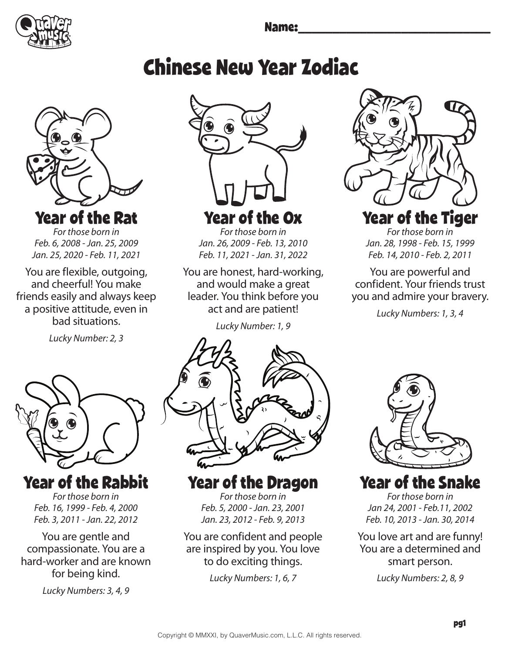

# Chinese New Year Zodiac



*For those born in Feb. 6, 2008 - Jan. 25, 2009 Jan. 25, 2020 - Feb. 11, 2021*

You are flexible, outgoing, and cheerful! You make friends easily and always keep a positive attitude, even in bad situations.

*Lucky Number: 2, 3*



Year of the Rabbit

*For those born in Feb. 16, 1999 - Feb. 4, 2000 Feb. 3, 2011 - Jan. 22, 2012*

You are gentle and compassionate. You are a hard-worker and are known for being kind.

*Lucky Numbers: 3, 4, 9*



Year of the Ox

*For those born in Jan. 26, 2009 - Feb. 13, 2010 Feb. 11, 2021 - Jan. 31, 2022*

You are honest, hard-working, and would make a great leader. You think before you act and are patient!

*Lucky Number: 1, 9*



Year of the Dragon *For those born in* 

*Feb. 5, 2000 - Jan. 23, 2001 Jan. 23, 2012 - Feb. 9, 2013*

You are confident and people are inspired by you. You love to do exciting things.

*Lucky Numbers: 1, 6, 7*



# Year of the Tiger

*For those born in Jan. 28, 1998 - Feb. 15, 1999 Feb. 14, 2010 - Feb. 2, 2011*

You are powerful and confident. Your friends trust you and admire your bravery.

*Lucky Numbers: 1, 3, 4* 



Year of the Snake

*For those born in Jan 24, 2001 - Feb.11, 2002 Feb. 10, 2013 - Jan. 30, 2014*

You love art and are funny! You are a determined and smart person.

*Lucky Numbers: 2, 8, 9*